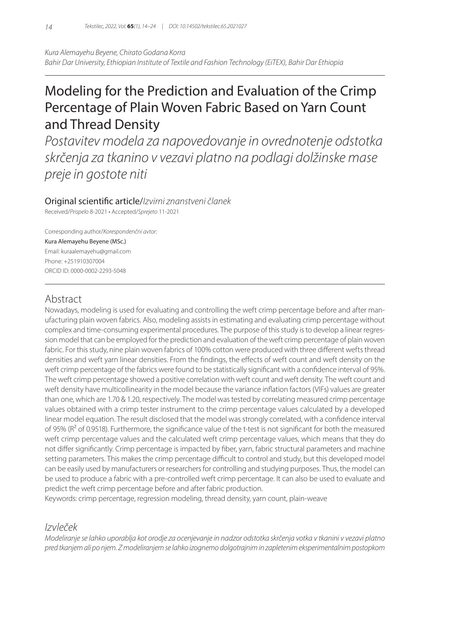*Kura Alemayehu Beyene, Chirato Godana Korra Bahir Dar University, Ethiopian Institute of Textile and Fashion Technology (EiTEX), Bahir Dar Ethiopia*

# Modeling for the Prediction and Evaluation of the Crimp Percentage of Plain Woven Fabric Based on Yarn Count and Thread Density

*Postavitev modela za napovedovanje in ovrednotenje odstotka skrčenja za tkanino v vezavi platno na podlagi dolžinske mase preje in gostote niti*

### Original scientific article/*Izvirni znanstveni članek*

Received/*Prispelo* 8-2021 • Accepted/*Sprejeto* 11-2021

Corresponding author/*Korespondenčni avtor:* Kura Alemayehu Beyene (MSc.) Email: kuraalemayehu@gmail.com Phone: +251910307004 ORCID ID: 0000-0002-2293-5048

# Abstract

Nowadays, modeling is used for evaluating and controlling the weft crimp percentage before and after manufacturing plain woven fabrics. Also, modeling assists in estimating and evaluating crimp percentage without complex and time-consuming experimental procedures. The purpose of this study is to develop a linear regression model that can be employed for the prediction and evaluation of the weft crimp percentage of plain woven fabric. For this study, nine plain woven fabrics of 100% cotton were produced with three different wefts thread densities and weft yarn linear densities. From the findings, the effects of weft count and weft density on the weft crimp percentage of the fabrics were found to be statistically significant with a confidence interval of 95%. The weft crimp percentage showed a positive correlation with weft count and weft density. The weft count and weft density have multicollinearity in the model because the variance inflation factors (VIFs) values are greater than one, which are 1.70 & 1.20, respectively. The model was tested by correlating measured crimp percentage values obtained with a crimp tester instrument to the crimp percentage values calculated by a developed linear model equation. The result disclosed that the model was strongly correlated, with a confidence interval of 95% ( $R^2$  of 0.9518). Furthermore, the significance value of the t-test is not significant for both the measured weft crimp percentage values and the calculated weft crimp percentage values, which means that they do not differ significantly. Crimp percentage is impacted by fiber, yarn, fabric structural parameters and machine setting parameters. This makes the crimp percentage difficult to control and study, but this developed model can be easily used by manufacturers or researchers for controlling and studying purposes. Thus, the model can be used to produce a fabric with a pre-controlled weft crimp percentage. It can also be used to evaluate and predict the weft crimp percentage before and after fabric production.

Keywords: crimp percentage, regression modeling, thread density, yarn count, plain-weave

# *Izvleček*

*Modeliranje se lahko uporablja kot orodje za ocenjevanje in nadzor odstotka skrčenja votka v tkanini v vezavi platno pred tkanjem ali po njem. Z modeliranjem se lahko izognemo dolgotrajnim in zapletenim eksperimentalnim postopkom*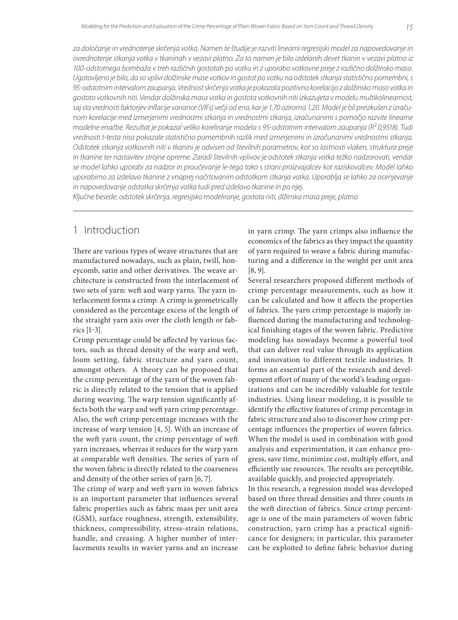*za določanje in vrednotenje skrčenja votka. Namen te študije je razviti linearni regresijski model za napovedovanje in ovrednotenje stkanja votka v tkaninah v vezavi platno. Za ta namen je bilo izdelanih devet tkanin v vezavi platno iz 100-odstotnega bombaža v treh različnih gostotah po votku in z uporabo votkovne preje z različno dolžinsko maso. Ugotovljeno je bilo, da so vplivi dolžinske mase votkov in gostot po votku na odstotek stkanja statistično pomembni, s 95-odstotnim intervalom zaupanja. Vrednost skrčenja votka je pokazala pozitivno korelacijo z dolžinsko maso votka in gostoto votkovnih niti. Vendar dolžinska masa votka in gostota votkovnih niti izkazujeta v modelu multikolinearnost, saj sta vrednosti faktorjev inflacije variance (VIFs) večji od ena, kar je 1,70 oziroma 1,20. Model je bil preizkušen z izračunom korelacije med izmerjenimi vrednostmi stkanja in vrednostmi stkanja, izračunanimi s pomočjo razvite linearne modelne enačbe. Rezultat je pokazal veliko koreliranje modela s 95-odstotnim intervalom zaupanja (R² 0,9518). Tudi vrednosti t-testa niso pokazale statistično pomembnih razlik med izmerjenimi in izračunanimi vrednostmi stkanja. Odstotek stkanja votkovnih niti v tkanini je odvisen od številnih parametrov, kot so lastnosti vlaken, struktura preje in tkanine ter nastavitev strojne opreme. Zaradi številnih vplivov je odstotek stkanja votka težko nadzorovati, vendar se model lahko uporabi za nadzor in proučevanje le-tega tako s strani proizvajalcev kot raziskovalcev. Model lahko uporabimo za izdelavo tkanine z vnaprej načrtovanim odstotkom stkanja votka. Uporablja se lahko za ocenjevanje in napovedovanje odstotka skrčenja votka tudi pred izdelavo tkanine in po njej.* 

*Ključne besede: odstotek skrčenja, regresijsko modeliranje, gostota niti, dlžinska masa preje, platno*

# 1 Introduction

There are various types of weave structures that are manufactured nowadays, such as plain, twill, honeycomb, satin and other derivatives. The weave architecture is constructed from the interlacement of two sets of yarn: weft and warp yarns. The yarn interlacement forms a crimp. A crimp is geometrically considered as the percentage excess of the length of the straight yarn axis over the cloth length or fabrics [1‒3].

Crimp percentage could be affected by various factors, such as thread density of the warp and weft, loom setting, fabric structure and yarn count, amongst others. A theory can be proposed that the crimp percentage of the yarn of the woven fabric is directly related to the tension that is applied during weaving. The warp tension significantly affects both the warp and weft yarn crimp percentage. Also, the weft crimp percentage increases with the increase of warp tension [4, 5]. With an increase of the weft yarn count, the crimp percentage of weft yarn increases, whereas it reduces for the warp yarn at comparable weft densities. The series of yarn of the woven fabric is directly related to the coarseness and density of the other series of yarn [6, 7].

The crimp of warp and weft yarn in woven fabrics is an important parameter that influences several fabric properties such as fabric mass per unit area (GSM), surface roughness, strength, extensibility, thickness, compressibility, stress-strain relations, handle, and creasing. A higher number of interlacements results in wavier yarns and an increase

in yarn crimp. The yarn crimps also influence the economics of the fabrics as they impact the quantity of yarn required to weave a fabric during manufacturing and a difference in the weight per unit area [8, 9].

Several researchers proposed different methods of crimp percentage measurements, such as how it can be calculated and how it affects the properties of fabrics. The yarn crimp percentage is majorly influenced during the manufacturing and technological finishing stages of the woven fabric. Predictive modeling has nowadays become a powerful tool that can deliver real value through its application and innovation to different textile industries. It forms an essential part of the research and development effort of many of the world's leading organizations and can be incredibly valuable for textile industries. Using linear modeling, it is possible to identify the effective features of crimp percentage in fabric structure and also to discover how crimp percentage influences the properties of woven fabrics. When the model is used in combination with good analysis and experimentation, it can enhance progress, save time, minimize cost, multiply effort, and efficiently use resources. The results are perceptible, available quickly, and projected appropriately.

In this research, a regression model was developed based on three thread densities and three counts in the weft direction of fabrics. Since crimp percentage is one of the main parameters of woven fabric construction, yarn crimp has a practical significance for designers; in particular, this parameter can be exploited to define fabric behavior during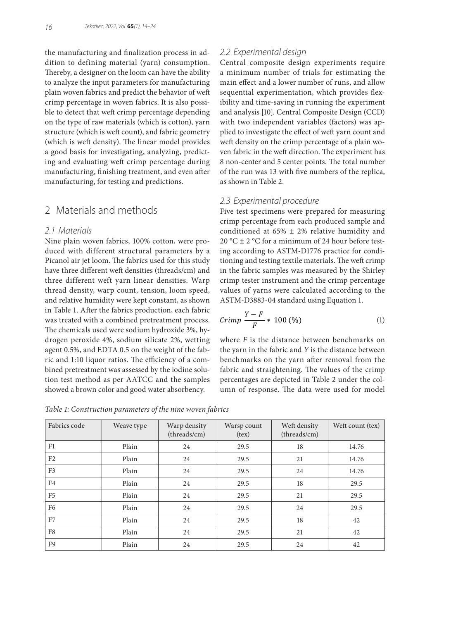the manufacturing and finalization process in addition to defining material (yarn) consumption. Thereby, a designer on the loom can have the ability to analyze the input parameters for manufacturing plain woven fabrics and predict the behavior of weft crimp percentage in woven fabrics. It is also possible to detect that weft crimp percentage depending on the type of raw materials (which is cotton), yarn structure (which is weft count), and fabric geometry (which is weft density). The linear model provides a good basis for investigating, analyzing, predicting and evaluating weft crimp percentage during manufacturing, finishing treatment, and even after manufacturing, for testing and predictions.

# 2 Materials and methods

#### *2.1 Materials*

Nine plain woven fabrics, 100% cotton, were produced with different structural parameters by a Picanol air jet loom. The fabrics used for this study have three different weft densities (threads/cm) and three different weft yarn linear densities. Warp thread density, warp count, tension, loom speed, and relative humidity were kept constant, as shown in Table 1. After the fabrics production, each fabric was treated with a combined pretreatment process. The chemicals used were sodium hydroxide 3%, hydrogen peroxide 4%, sodium silicate 2%, wetting agent 0.5%, and EDTA 0.5 on the weight of the fabric and 1:10 liquor ratios. The efficiency of a combined pretreatment was assessed by the iodine solution test method as per AATCC and the samples showed a brown color and good water absorbency.

#### *2.2 Experimental design*

Central composite design experiments require a minimum number of trials for estimating the main effect and a lower number of runs, and allow sequential experimentation, which provides flexibility and time-saving in running the experiment and analysis [10]. Central Composite Design (CCD) with two independent variables (factors) was applied to investigate the effect of weft yarn count and weft density on the crimp percentage of a plain woven fabric in the weft direction. The experiment has 8 non-center and 5 center points. The total number of the run was 13 with five numbers of the replica, as shown in Table 2.

#### *2.3 Experimental procedure*

Five test specimens were prepared for measuring crimp percentage from each produced sample and conditioned at  $65\% \pm 2\%$  relative humidity and 20 °C  $\pm$  2 °C for a minimum of 24 hour before testing according to ASTM-D1776 practice for conditioning and testing textile materials. The weft crimp in the fabric samples was measured by the Shirley crimp tester instrument and the crimp percentage values of yarns were calculated according to the ASTM-D3883-04 standard using Equation 1.

$$
Crimp \frac{Y - F}{F} * 100\,(\%) \tag{1}
$$

where *F* is the distance between benchmarks on the yarn in the fabric and *Y* is the distance between benchmarks on the yarn after removal from the fabric and straightening. The values of the crimp percentages are depicted in Table 2 under the column of response. The data were used for model

*Table 1: Construction parameters of the nine woven fabrics*

| Fabrics code   | Weave type | Warp density<br>(threads/cm) | Warsp count<br>(text) | Weft density<br>(threads/cm) | Weft count (tex) |
|----------------|------------|------------------------------|-----------------------|------------------------------|------------------|
| F1             | Plain      | 24                           | 29.5                  | 18                           | 14.76            |
| F <sub>2</sub> | Plain      | 24                           | 29.5                  | 21                           | 14.76            |
| F <sub>3</sub> | Plain      | 24                           | 29.5                  | 24                           | 14.76            |
| F4             | Plain      | 24                           | 29.5                  | 18                           | 29.5             |
| F <sub>5</sub> | Plain      | 24                           | 29.5                  | 21                           | 29.5             |
| F <sub>6</sub> | Plain      | 24                           | 29.5                  | 24                           | 29.5             |
| F7             | Plain      | 24                           | 29.5                  | 18                           | 42               |
| F8             | Plain      | 24                           | 29.5                  | 21                           | 42               |
| F9             | Plain      | 24                           | 29.5                  | 24                           | 42               |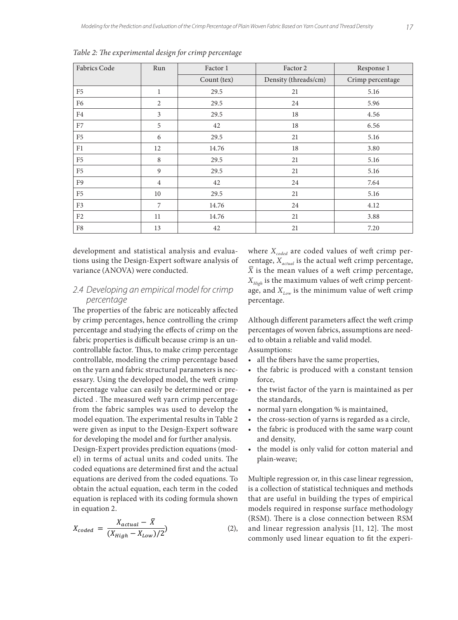| <b>Fabrics Code</b> | Run            | Factor 1    | Factor 2             | Response 1       |
|---------------------|----------------|-------------|----------------------|------------------|
|                     |                | Count (tex) | Density (threads/cm) | Crimp percentage |
| F <sub>5</sub>      | $\mathbf{1}$   | 29.5        | 21                   | 5.16             |
| F6                  | 2              | 29.5        | 24                   | 5.96             |
| F4                  | 3              | 29.5        | 18                   | 4.56             |
| F7                  | 5              | 42          | 18                   | 6.56             |
| F <sub>5</sub>      | 6              | 29.5        | 21                   | 5.16             |
| F1                  | 12             | 14.76       | 18                   | 3.80             |
| F <sub>5</sub>      | 8              | 29.5        | 21                   | 5.16             |
| F <sub>5</sub>      | 9              | 29.5        | 21                   | 5.16             |
| F <sub>9</sub>      | $\overline{4}$ | 42          | 24                   | 7.64             |
| F <sub>5</sub>      | 10             | 29.5        | 21                   | 5.16             |
| F <sub>3</sub>      | 7              | 14.76       | 24                   | 4.12             |
| F2                  | 11             | 14.76       | 21                   | 3.88             |
| F8                  | 13             | 42          | 21                   | 7.20             |

*Table 2: The experimental design for crimp percentage*

development and statistical analysis and evaluations using the Design-Expert software analysis of variance (ANOVA) were conducted.

#### *2.4 Developing an empirical model for crimp percentage*

The properties of the fabric are noticeably affected by crimp percentages, hence controlling the crimp percentage and studying the effects of crimp on the fabric properties is difficult because crimp is an uncontrollable factor. Thus, to make crimp percentage controllable, modeling the crimp percentage based on the yarn and fabric structural parameters is necessary. Using the developed model, the weft crimp percentage value can easily be determined or predicted . The measured weft yarn crimp percentage from the fabric samples was used to develop the model equation. The experimental results in Table 2 were given as input to the Design-Expert software for developing the model and for further analysis. Design-Expert provides prediction equations (model) in terms of actual units and coded units. The coded equations are determined first and the actual equations are derived from the coded equations. To obtain the actual equation, each term in the coded

equation is replaced with its coding formula shown in equation 2.  $X_{coded} = \frac{X_{actual} - X}{(X_{High} - X_{Low})/2}$  $(2),$  where  $X_{\text{coded}}$  are coded values of weft crimp percentage,  $X_{actual}$  is the actual weft crimp percentage, *X* is the mean values of a weft crimp percentage, *XHigh* is the maximum values of weft crimp percentage, and  $X_{\text{Low}}$  is the minimum value of weft crimp percentage.

Although different parameters affect the weft crimp percentages of woven fabrics, assumptions are needed to obtain a reliable and valid model. Assumptions:

- all the fibers have the same properties,
- the fabric is produced with a constant tension force,
- the twist factor of the yarn is maintained as per the standards,
- normal yarn elongation % is maintained,
- the cross-section of yarns is regarded as a circle,
- the fabric is produced with the same warp count and density,
- the model is only valid for cotton material and plain-weave;

Multiple regression or, in this case linear regression, is a collection of statistical techniques and methods that are useful in building the types of empirical models required in response surface methodology (RSM). There is a close connection between RSM and linear regression analysis [11, 12]. The most commonly used linear equation to fit the experi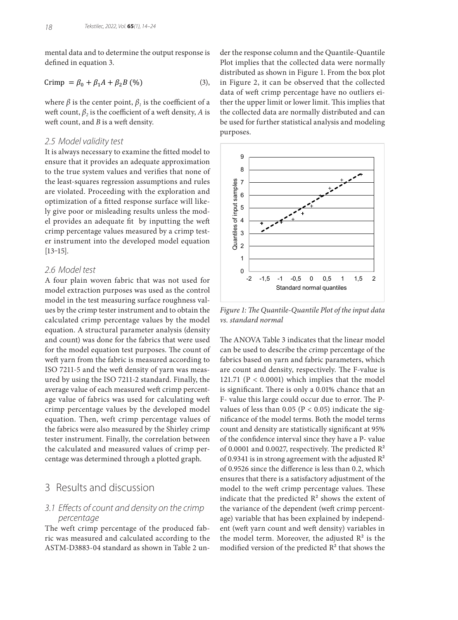mental data and to determine the output response is defined in equation 3.

$$
Crimp = \beta_0 + \beta_1 A + \beta_2 B \quad (%) \tag{3}
$$

where  $\beta$  is the center point,  $\beta$ <sub>*i*</sub> is the coefficient of a weft count,  $\beta$ <sub>2</sub> is the coefficient of a weft density, *A* is weft count, and *B* is a weft density.

#### *2.5 Model validity test*

It is always necessary to examine the fitted model to ensure that it provides an adequate approximation to the true system values and verifies that none of the least-squares regression assumptions and rules are violated. Proceeding with the exploration and optimization of a fitted response surface will likely give poor or misleading results unless the model provides an adequate fit by inputting the weft crimp percentage values measured by a crimp tester instrument into the developed model equation  $[13-15]$ .

#### *2.6 Model test*

A four plain woven fabric that was not used for model extraction purposes was used as the control model in the test measuring surface roughness values by the crimp tester instrument and to obtain the calculated crimp percentage values by the model equation. A structural parameter analysis (density and count) was done for the fabrics that were used for the model equation test purposes. The count of weft yarn from the fabric is measured according to ISO 7211-5 and the weft density of yarn was measured by using the ISO 7211-2 standard. Finally, the average value of each measured weft crimp percentage value of fabrics was used for calculating weft crimp percentage values by the developed model equation. Then, weft crimp percentage values of the fabrics were also measured by the Shirley crimp tester instrument. Finally, the correlation between the calculated and measured values of crimp percentage was determined through a plotted graph.

# 3 Results and discussion

### *3.1 Effects of count and density on the crimp percentage*

The weft crimp percentage of the produced fabric was measured and calculated according to the ASTM-D3883-04 standard as shown in Table 2 under the response column and the Quantile-Quantile Plot implies that the collected data were normally distributed as shown in Figure 1. From the box plot in Figure 2, it can be observed that the collected data of weft crimp percentage have no outliers either the upper limit or lower limit. This implies that the collected data are normally distributed and can be used for further statistical analysis and modeling purposes.



*Figure 1: The Quantile-Quantile Plot of the input data vs. standard normal*

The ANOVA Table 3 indicates that the linear model can be used to describe the crimp percentage of the fabrics based on yarn and fabric parameters, which are count and density, respectively. The F-value is 121.71 ( $P < 0.0001$ ) which implies that the model is significant. There is only a 0.01% chance that an F- value this large could occur due to error. The Pvalues of less than 0.05 ( $P < 0.05$ ) indicate the significance of the model terms. Both the model terms count and density are statistically significant at 95% of the confidence interval since they have a P- value of 0.0001 and 0.0027, respectively. The predicted  $\mathbb{R}^2$ of 0.9341 is in strong agreement with the adjusted  $\mathbb{R}^2$ of 0.9526 since the difference is less than 0.2, which ensures that there is a satisfactory adjustment of the model to the weft crimp percentage values. These indicate that the predicted  $R^2$  shows the extent of the variance of the dependent (weft crimp percentage) variable that has been explained by independent (weft yarn count and weft density) variables in the model term. Moreover, the adjusted  $R^2$  is the modified version of the predicted  $R^2$  that shows the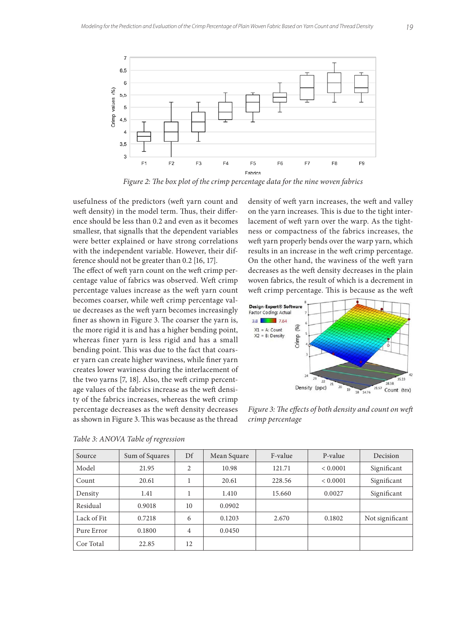

*Figure 2: The box plot of the crimp percentage data for the nine woven fabrics*

usefulness of the predictors (weft yarn count and weft density) in the model term. Thus, their difference should be less than 0.2 and even as it becomes smallesr, that signalls that the dependent variables were better explained or have strong correlations with the independent variable. However, their difference should not be greater than 0.2 [16, 17].

The effect of weft yarn count on the weft crimp percentage value of fabrics was observed. Weft crimp percentage values increase as the weft yarn count becomes coarser, while weft crimp percentage value decreases as the weft yarn becomes increasingly finer as shown in Figure 3. The coarser the yarn is, the more rigid it is and has a higher bending point, whereas finer yarn is less rigid and has a small bending point. This was due to the fact that coarser yarn can create higher waviness, while finer yarn creates lower waviness during the interlacement of the two yarns [7, 18]. Also, the weft crimp percentage values of the fabrics increase as the weft density of the fabrics increases, whereas the weft crimp percentage decreases as the weft density decreases as shown in Figure 3. This was because as the thread

density of weft yarn increases, the weft and valley on the yarn increases. This is due to the tight interlacement of weft yarn over the warp. As the tightness or compactness of the fabrics increases, the weft yarn properly bends over the warp yarn, which results in an increase in the weft crimp percentage. On the other hand, the waviness of the weft yarn decreases as the weft density decreases in the plain woven fabrics, the result of which is a decrement in weft crimp percentage. This is because as the weft



*Figure 3: The effects of both density and count on weft crimp percentage*

| Source      | Sum of Squares | Df | Mean Square | F-value | P-value  | Decision        |
|-------------|----------------|----|-------------|---------|----------|-----------------|
| Model       | 21.95          | 2  | 10.98       | 121.71  | < 0.0001 | Significant     |
| Count       | 20.61          |    | 20.61       | 228.56  | < 0.0001 | Significant     |
| Density     | 1.41           |    | 1.410       | 15.660  | 0.0027   | Significant     |
| Residual    | 0.9018         | 10 | 0.0902      |         |          |                 |
| Lack of Fit | 0.7218         | 6  | 0.1203      | 2.670   | 0.1802   | Not significant |
| Pure Error  | 0.1800         | 4  | 0.0450      |         |          |                 |
| Cor Total   | 22.85          | 12 |             |         |          |                 |

*Table 3: ANOVA Table of regression*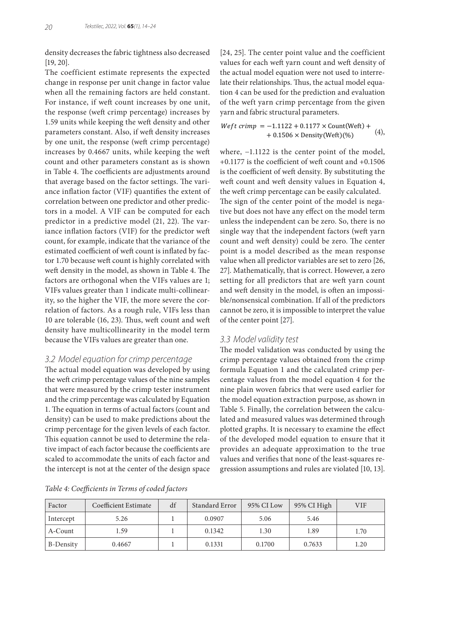density decreases the fabric tightness also decreased [19, 20].

The coefficient estimate represents the expected change in response per unit change in factor value when all the remaining factors are held constant. For instance, if weft count increases by one unit, the response (weft crimp percentage) increases by 1.59 units while keeping the weft density and other parameters constant. Also, if weft density increases by one unit, the response (weft crimp percentage) increases by 0.4667 units, while keeping the weft count and other parameters constant as is shown in Table 4. The coefficients are adjustments around that average based on the factor settings. The variance inflation factor (VIF) quantifies the extent of correlation between one predictor and other predictors in a model. A VIF can be computed for each predictor in a predictive model (21, 22). The variance inflation factors (VIF) for the predictor weft count, for example, indicate that the variance of the estimated coefficient of weft count is inflated by factor 1.70 because weft count is highly correlated with weft density in the model, as shown in Table 4. The factors are orthogonal when the VIFs values are 1; VIFs values greater than 1 indicate multi-collinearity, so the higher the VIF, the more severe the correlation of factors. As a rough rule, VIFs less than 10 are tolerable (16, 23). Thus, weft count and weft density have multicollinearity in the model term because the VIFs values are greater than one.

#### *3.2 Model equation for crimp percentage*

The actual model equation was developed by using the weft crimp percentage values of the nine samples that were measured by the crimp tester instrument and the crimp percentage was calculated by Equation 1. The equation in terms of actual factors (count and density) can be used to make predictions about the crimp percentage for the given levels of each factor. This equation cannot be used to determine the relative impact of each factor because the coefficients are scaled to accommodate the units of each factor and the intercept is not at the center of the design space

[24, 25]. The center point value and the coefficient values for each weft yarn count and weft density of the actual model equation were not used to interrelate their relationships. Thus, the actual model equation 4 can be used for the prediction and evaluation of the weft yarn crimp percentage from the given yarn and fabric structural parameters.

 $Weft \text{ crime} = -1.1122 + 0.1177 \times \text{Count(Weff)} +$ <br> $+ 0.1506 \times \text{Densim(Meff)}(W_0)$  (4)  $+ 0.1506 \times$  Density(Weft)(%)

where, −1.1122 is the center point of the model, +0.1177 is the coefficient of weft count and +0.1506 is the coefficient of weft density. By substituting the weft count and weft density values in Equation 4, the weft crimp percentage can be easily calculated. The sign of the center point of the model is negative but does not have any effect on the model term unless the independent can be zero. So, there is no single way that the independent factors (weft yarn count and weft density) could be zero. The center point is a model described as the mean response value when all predictor variables are set to zero [26, 27]. Mathematically, that is correct. However, a zero setting for all predictors that are weft yarn count and weft density in the model, is often an impossible/nonsensical combination. If all of the predictors cannot be zero, it is impossible to interpret the value of the center point [27].

#### *3.3 Model validity test*

The model validation was conducted by using the crimp percentage values obtained from the crimp formula Equation 1 and the calculated crimp percentage values from the model equation 4 for the nine plain woven fabrics that were used earlier for the model equation extraction purpose, as shown in Table 5. Finally, the correlation between the calculated and measured values was determined through plotted graphs. It is necessary to examine the effect of the developed model equation to ensure that it provides an adequate approximation to the true values and verifies that none of the least-squares regression assumptions and rules are violated [10, 13].

*Table 4: Coefficients in Terms of coded factors*

| Factor    | <b>Coefficient Estimate</b> | df | Standard Error | 95% CI Low | 95% CI High | <b>VIF</b> |
|-----------|-----------------------------|----|----------------|------------|-------------|------------|
| Intercept | 5.26                        |    | 0.0907         | 5.06       | 5.46        |            |
| A-Count   | 1.59                        |    | 0.1342         | 1.30       | 1.89        | 1.70       |
| B-Density | 0.4667                      |    | 0.1331         | 0.1700     | 0.7633      | 1.20       |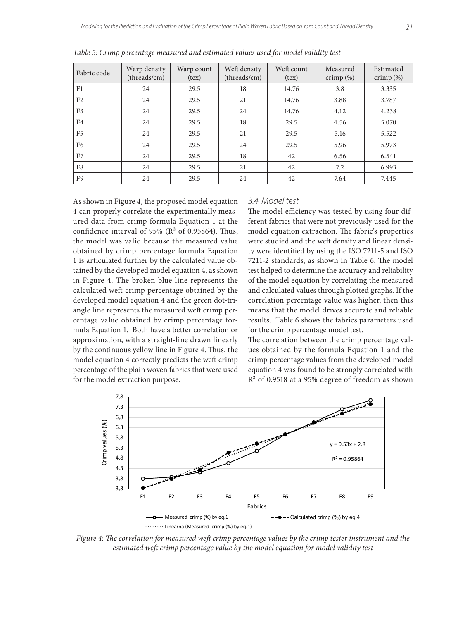| Fabric code    | Warp density<br>(threads/cm) | Warp count<br>(text) | Weft density<br>(threads/cm) | Weft count<br>(text) | Measured<br>crimp $(\%)$ | Estimated<br>crimp $(\%)$ |
|----------------|------------------------------|----------------------|------------------------------|----------------------|--------------------------|---------------------------|
| F <sub>1</sub> | 24                           | 29.5                 | 18                           | 14.76                | 3.8                      | 3.335                     |
| F <sub>2</sub> | 24                           | 29.5                 | 21                           | 14.76                | 3.88                     | 3.787                     |
| F <sub>3</sub> | 24                           | 29.5                 | 24                           | 14.76                | 4.12                     | 4.238                     |
| F4             | 24                           | 29.5                 | 18                           | 29.5                 | 4.56                     | 5.070                     |
| F <sub>5</sub> | 24                           | 29.5                 | 21                           | 29.5                 | 5.16                     | 5.522                     |
| F <sub>6</sub> | 24                           | 29.5                 | 24                           | 29.5                 | 5.96                     | 5.973                     |
| F7             | 24                           | 29.5                 | 18                           | 42                   | 6.56                     | 6.541                     |
| F8             | 24                           | 29.5                 | 21                           | 42                   | 7.2                      | 6.993                     |
| F9             | 24                           | 29.5                 | 24                           | 42                   | 7.64                     | 7.445                     |

*Table 5: Crimp percentage measured and estimated values used for model validity test*

As shown in Figure 4, the proposed model equation 4 can properly correlate the experimentally measured data from crimp formula Equation 1 at the confidence interval of 95% ( $\mathbb{R}^2$  of 0.95864). Thus, the model was valid because the measured value obtained by crimp percentage formula Equation 1 is articulated further by the calculated value obtained by the developed model equation 4, as shown in Figure 4. The broken blue line represents the calculated weft crimp percentage obtained by the developed model equation 4 and the green dot-triangle line represents the measured weft crimp percentage value obtained by crimp percentage formula Equation 1. Both have a better correlation or approximation, with a straight-line drawn linearly by the continuous yellow line in Figure 4. Thus, the model equation 4 correctly predicts the weft crimp percentage of the plain woven fabrics that were used for the model extraction purpose.

#### *3.4 Model test*

The model efficiency was tested by using four different fabrics that were not previously used for the model equation extraction. The fabric's properties were studied and the weft density and linear density were identified by using the ISO 7211-5 and ISO 7211-2 standards, as shown in Table 6. The model test helped to determine the accuracy and reliability of the model equation by correlating the measured and calculated values through plotted graphs. If the correlation percentage value was higher, then this means that the model drives accurate and reliable results. Table 6 shows the fabrics parameters used for the crimp percentage model test.

The correlation between the crimp percentage values obtained by the formula Equation 1 and the crimp percentage values from the developed model equation 4 was found to be strongly correlated with R² of 0.9518 at a 95% degree of freedom as shown



*Figure 4: The correlation for measured weft crimp percentage values by the crimp tester instrument and the estimated weft crimp percentage value by the model equation for model validity test*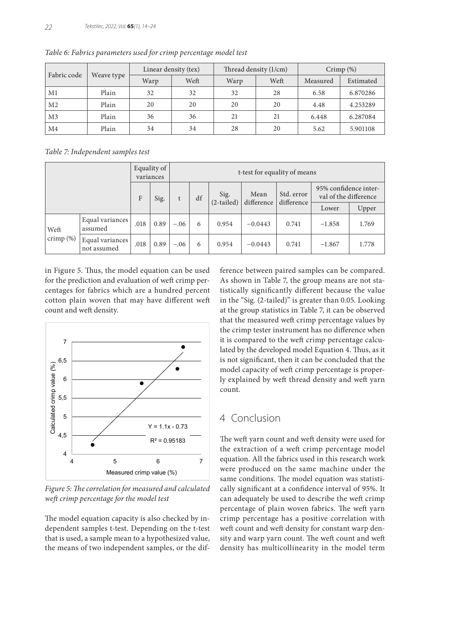| Fabric code    | Weave type |      | Linear density (tex) |      | Thread density (1/cm) | Crimp $(\%)$ |           |  |
|----------------|------------|------|----------------------|------|-----------------------|--------------|-----------|--|
|                |            | Warp | Weft                 | Warp | Weft                  | Measured     | Estimated |  |
| M1             | Plain      | 32   | 32                   | 32   | 28                    | 6.58         | 6.870286  |  |
| M <sub>2</sub> | Plain      | 20   | 20                   | 20   | 20                    | 4.48         | 4.253289  |  |
| M <sub>3</sub> | Plain      | 36   | 36                   | 21   | 21                    | 6.448        | 6.287084  |  |
| M <sub>4</sub> | Plain      | 34   | 34                   | 28   | 20                    | 5.62         | 5.901108  |  |

*Table 6: Fabrics parameters used for crimp percentage model test*

*Table 7: Independent samples test*

|              |                                |      | Equality of<br>t-test for equality of means<br>variances |        |    |              |            |                          |                                                |       |
|--------------|--------------------------------|------|----------------------------------------------------------|--------|----|--------------|------------|--------------------------|------------------------------------------------|-------|
|              |                                | F    | Sig.                                                     |        | df | Sig.         | Mean       | Std. error<br>difference | 95% confidence inter-<br>val of the difference |       |
|              |                                |      |                                                          |        |    | $(2-tailed)$ | difference |                          | Lower                                          | Upper |
| Weft         | Equal variances<br>assumed     | .018 | 0.89                                                     | $-.06$ | 6  | 0.954        | $-0.0443$  | 0.741                    | $-1.858$                                       | 1.769 |
| crimp $(\%)$ | Equal variances<br>not assumed | .018 | 0.89                                                     | $-.06$ | 6  | 0.954        | $-0.0443$  | 0.741                    | $-1.867$                                       | 1.778 |

in Figure 5. Thus, the model equation can be used for the prediction and evaluation of weft crimp percentages for fabrics which are a hundred percent cotton plain woven that may have different weft count and weft density.



*Figure 5: The correlation for measured and calculated weft crimp percentage for the model test*

The model equation capacity is also checked by independent samples t-test. Depending on the t-test that is used, a sample mean to a hypothesized value, the means of two independent samples, or the difference between paired samples can be compared. As shown in Table 7, the group means are not statistically significantly different because the value in the "Sig. (2-tailed)" is greater than 0.05. Looking at the group statistics in Table 7, it can be observed that the measured weft crimp percentage values by the crimp tester instrument has no difference when it is compared to the weft crimp percentage calculated by the developed model Equation 4. Thus, as it is not significant, then it can be concluded that the model capacity of weft crimp percentage is properly explained by weft thread density and weft yarn count.

# 4 Conclusion

The weft yarn count and weft density were used for the extraction of a weft crimp percentage model equation. All the fabrics used in this research work were produced on the same machine under the same conditions. The model equation was statistically significant at a confidence interval of 95%. It can adequately be used to describe the weft crimp percentage of plain woven fabrics. The weft yarn crimp percentage has a positive correlation with weft count and weft density for constant warp density and warp yarn count. The weft count and weft density has multicollinearity in the model term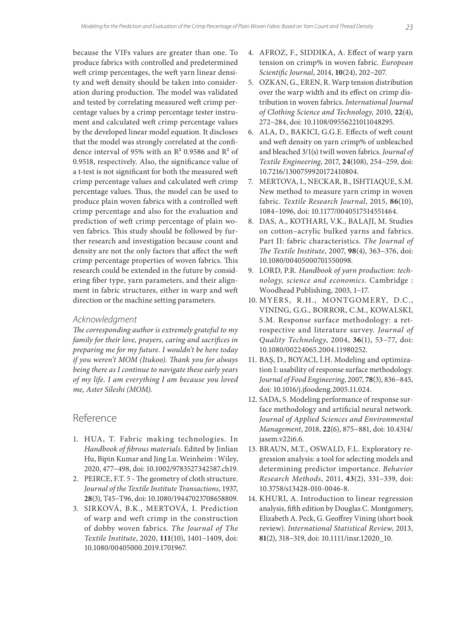because the VIFs values are greater than one. To produce fabrics with controlled and predetermined weft crimp percentages, the weft yarn linear density and weft density should be taken into consideration during production. The model was validated and tested by correlating measured weft crimp percentage values by a crimp percentage tester instrument and calculated weft crimp percentage values by the developed linear model equation. It discloses that the model was strongly correlated at the confidence interval of 95% with an  $R^2$  0.9586 and  $R^2$  of 0.9518, respectively. Also, the significance value of a t-test is not significant for both the measured weft crimp percentage values and calculated weft crimp percentage values. Thus, the model can be used to produce plain woven fabrics with a controlled weft crimp percentage and also for the evaluation and prediction of weft crimp percentage of plain woven fabrics. This study should be followed by further research and investigation because count and density are not the only factors that affect the weft crimp percentage properties of woven fabrics. This research could be extended in the future by considering fiber type, yarn parameters, and their alignment in fabric structures, either in warp and weft direction or the machine setting parameters.

#### *Acknowledgment*

*The corresponding author is extremely grateful to my family for their love, prayers, caring and sacrifices in preparing me for my future. I wouldn't be here today if you weren't MOM (Itukoo). Thank you for always being there as I continue to navigate these early years of my life. I am everything I am because you loved me, Aster Sileshi (MOM).*

## Reference

- 1. HUA, T. Fabric making technologies. In *Handbook of fibrous materials*. Edited by Jinlian Hu, Bipin Kumar and Jing Lu. Weinheim : Wiley, 2020, 477−498, doi: 10.1002/9783527342587.ch19.
- 2. PEIRCE, F.T. 5 The geometry of cloth structure. *Journal of the Textile Institute Transactions*, 1937, **28**(3), T45−T96, doi: 10.1080/19447023708658809.
- 3. SIRKOVÁ, B.K., MERTOVÁ, I. Prediction of warp and weft crimp in the construction of dobby woven fabrics. *The Journal of The Textile Institute*, 2020, **111**(10), 1401−1409, doi: 10.1080/00405000.2019.1701967.
- 4. AFROZ, F., SIDDIKA, A. Effect of warp yarn tension on crimp% in woven fabric. *European Scientific Journal*, 2014, **10**(24), 202−207.
- 5. OZKAN, G., EREN, R. Warp tension distribution over the warp width and its effect on crimp distribution in woven fabrics. *International Journal of Clothing Science and Technology,* 2010, **22**(4), 272−284, doi: 10.1108/09556221011048295.
- 6. ALA, D., BAKICI, G.G.E. Effects of weft count and weft density on yarn crimp% of unbleached and bleached 3/1(s) twill woven fabrics. *Journal of Textile Engineering*, 2017, **24**(108), 254−259, doi: 10.7216/1300759920172410804.
- 7. MERTOVA, I., NECKAR, B., ISHTIAQUE, S.M. New method to measure yarn crimp in woven fabric. *Textile Research Journal*, 2015, **86**(10), 1084−1096, doi: 10.1177/0040517514551464.
- 8. DAS, A., KOTHARI, V.K., BALAJI, M. Studies on cotton–acrylic bulked yarns and fabrics. Part II: fabric characteristics. *The Journal of The Textile Institute*, 2007, **98**(4), 363−376, doi: 10.1080/00405000701550098.
- 9. LORD, P.R. *Handbook of yarn production: technology, science and economics*. Cambridge : Woodhead Publishing, 2003, 1−17.
- 10. MYERS, R.H., MONTGOMERY, D.C., VINING, G.G., BORROR, C.M., KOWALSKI, S.M. Response surface methodology: a retrospective and literature survey. *Journal of Quality Technology*, 2004, **36**(1), 53−77, doi: 10.1080/00224065.2004.11980252.
- 11. BAŞ, D., BOYACI, İ.H. Modeling and optimization I: usability of response surface methodology. *Journal of Food Engineering*, 2007, **78**(3), 836−845, doi: 10.1016/j.jfoodeng.2005.11.024.
- 12. SADA, S. Modeling performance of response surface methodology and artificial neural network. *Journal of Applied Sciences and Environmental Management*, 2018, **22**(6), 875−881, doi: 10.4314/ jasem.v22i6.6.
- 13. BRAUN, M.T., OSWALD, F.L. Exploratory regression analysis: a tool for selecting models and determining predictor importance. *Behavior Research Methods*, 2011, **43**(2), 331−339, doi: 10.3758/s13428-010-0046-8.
- 14. KHURI, A. Introduction to linear regression analysis, fifth edition by Douglas C. Montgomery, Elizabeth A. Peck, G. Geoffrey Vining (short book review). *International Statistical Review*, 2013, **81**(2), 318−319, doi: 10.1111/insr.12020\_10.